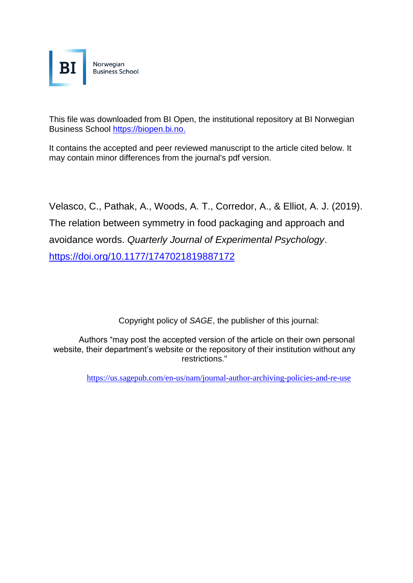

This file was downloaded from BI Open, the institutional repository at BI Norwegian Business School [https://biopen.bi.no.](https://biopen.bi.no./)

It contains the accepted and peer reviewed manuscript to the article cited below. It may contain minor differences from the journal's pdf version.

Velasco, C., Pathak, A., Woods, A. T., Corredor, A., & Elliot, A. J. (2019). The relation between symmetry in food packaging and approach and avoidance words. *Quarterly Journal of Experimental Psychology*. <https://doi.org/10.1177/1747021819887172>

Copyright policy of *SAGE*, the publisher of this journal:

Authors "may post the accepted version of the article on their own personal website, their department's website or the repository of their institution without any restrictions."

<https://us.sagepub.com/en-us/nam/journal-author-archiving-policies-and-re-use>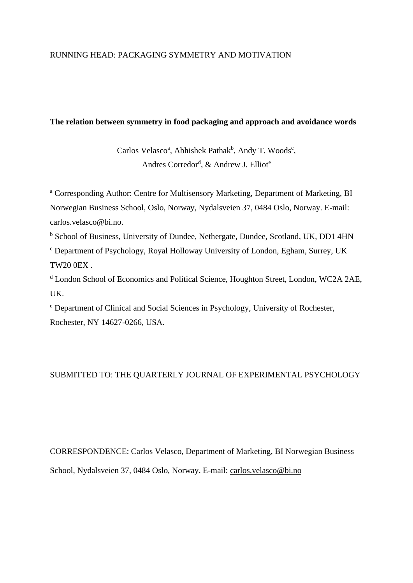# RUNNING HEAD: PACKAGING SYMMETRY AND MOTIVATION

# **The relation between symmetry in food packaging and approach and avoidance words**

Carlos Velasco<sup>a</sup>, Abhishek Pathak<sup>b</sup>, Andy T. Woods<sup>c</sup>, Andres Corredor<sup>d</sup>, & Andrew J. Elliot<sup>e</sup>

<sup>a</sup> Corresponding Author: Centre for Multisensory Marketing, Department of Marketing, BI Norwegian Business School, Oslo, Norway, Nydalsveien 37, 0484 Oslo, Norway. E-mail: [carlos.velasco@bi.no.](mailto:carlosvelasco@protonmail.com)

<sup>b</sup> School of Business, University of Dundee, Nethergate, Dundee, Scotland, UK, DD1 4HN <sup>c</sup> Department of Psychology, Royal Holloway University of London, Egham, Surrey, UK TW20 0EX .

<sup>d</sup> London School of Economics and Political Science, Houghton Street, London, WC2A 2AE, UK.

<sup>e</sup> Department of Clinical and Social Sciences in Psychology, University of Rochester, Rochester, NY 14627-0266, USA.

# SUBMITTED TO: THE QUARTERLY JOURNAL OF EXPERIMENTAL PSYCHOLOGY

CORRESPONDENCE: Carlos Velasco, Department of Marketing, BI Norwegian Business School, Nydalsveien 37, 0484 Oslo, Norway. E-mail: [carlos.velasco@bi.no](mailto:carlosvelasco@protonmail.com)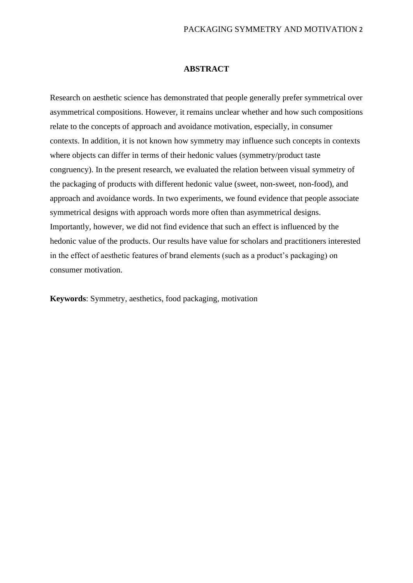### **ABSTRACT**

Research on aesthetic science has demonstrated that people generally prefer symmetrical over asymmetrical compositions. However, it remains unclear whether and how such compositions relate to the concepts of approach and avoidance motivation, especially, in consumer contexts. In addition, it is not known how symmetry may influence such concepts in contexts where objects can differ in terms of their hedonic values (symmetry/product taste congruency). In the present research, we evaluated the relation between visual symmetry of the packaging of products with different hedonic value (sweet, non-sweet, non-food), and approach and avoidance words. In two experiments, we found evidence that people associate symmetrical designs with approach words more often than asymmetrical designs. Importantly, however, we did not find evidence that such an effect is influenced by the hedonic value of the products. Our results have value for scholars and practitioners interested in the effect of aesthetic features of brand elements (such as a product's packaging) on consumer motivation.

**Keywords**: Symmetry, aesthetics, food packaging, motivation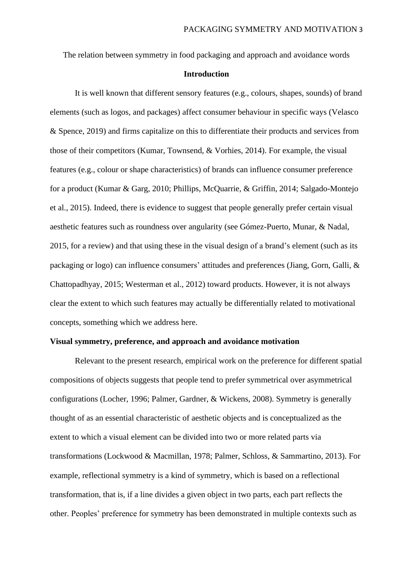The relation between symmetry in food packaging and approach and avoidance words

### **Introduction**

It is well known that different sensory features (e.g., colours, shapes, sounds) of brand elements (such as logos, and packages) affect consumer behaviour in specific ways (Velasco & Spence, 2019) and firms capitalize on this to differentiate their products and services from those of their competitors (Kumar, Townsend, & Vorhies, 2014). For example, the visual features (e.g., colour or shape characteristics) of brands can influence consumer preference for a product (Kumar & Garg, 2010; Phillips, McQuarrie, & Griffin, 2014; Salgado-Montejo et al., 2015). Indeed, there is evidence to suggest that people generally prefer certain visual aesthetic features such as roundness over angularity (see Gómez-Puerto, Munar, & Nadal, 2015, for a review) and that using these in the visual design of a brand's element (such as its packaging or logo) can influence consumers' attitudes and preferences (Jiang, Gorn, Galli, & Chattopadhyay, 2015; Westerman et al., 2012) toward products. However, it is not always clear the extent to which such features may actually be differentially related to motivational concepts, something which we address here.

#### **Visual symmetry, preference, and approach and avoidance motivation**

Relevant to the present research, empirical work on the preference for different spatial compositions of objects suggests that people tend to prefer symmetrical over asymmetrical configurations (Locher, 1996; Palmer, Gardner, & Wickens, 2008). Symmetry is generally thought of as an essential characteristic of aesthetic objects and is conceptualized as the extent to which a visual element can be divided into two or more related parts via transformations (Lockwood & Macmillan, 1978; Palmer, Schloss, & Sammartino, 2013). For example, reflectional symmetry is a kind of symmetry, which is based on a reflectional transformation, that is, if a line divides a given object in two parts, each part reflects the other. Peoples' preference for symmetry has been demonstrated in multiple contexts such as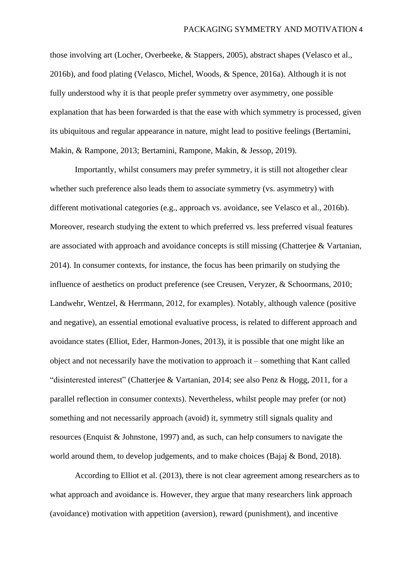those involving art (Locher, Overbeeke, & Stappers, 2005), abstract shapes (Velasco et al., 2016b), and food plating (Velasco, Michel, Woods, & Spence, 2016a). Although it is not fully understood why it is that people prefer symmetry over asymmetry, one possible explanation that has been forwarded is that the ease with which symmetry is processed, given its ubiquitous and regular appearance in nature, might lead to positive feelings (Bertamini, Makin, & Rampone, 2013; Bertamini, Rampone, Makin, & Jessop, 2019).

Importantly, whilst consumers may prefer symmetry, it is still not altogether clear whether such preference also leads them to associate symmetry (vs. asymmetry) with different motivational categories (e.g., approach vs. avoidance, see Velasco et al., 2016b). Moreover, research studying the extent to which preferred vs. less preferred visual features are associated with approach and avoidance concepts is still missing (Chatterjee & Vartanian, 2014). In consumer contexts, for instance, the focus has been primarily on studying the influence of aesthetics on product preference (see Creusen, Veryzer, & Schoormans, 2010; Landwehr, Wentzel, & Herrmann, 2012, for examples). Notably, although valence (positive and negative), an essential emotional evaluative process, is related to different approach and avoidance states (Elliot, Eder, Harmon-Jones, 2013), it is possible that one might like an object and not necessarily have the motivation to approach it – something that Kant called "disinterested interest" (Chatterjee & Vartanian, 2014; see also Penz & Hogg, 2011, for a parallel reflection in consumer contexts). Nevertheless, whilst people may prefer (or not) something and not necessarily approach (avoid) it, symmetry still signals quality and resources (Enquist & Johnstone, 1997) and, as such, can help consumers to navigate the world around them, to develop judgements, and to make choices (Bajaj & Bond, 2018).

According to Elliot et al. (2013), there is not clear agreement among researchers as to what approach and avoidance is. However, they argue that many researchers link approach (avoidance) motivation with appetition (aversion), reward (punishment), and incentive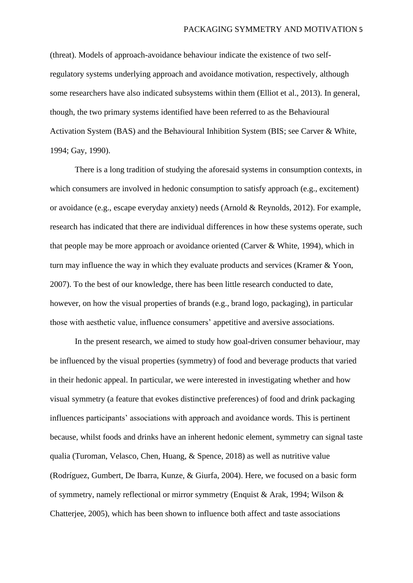(threat). Models of approach-avoidance behaviour indicate the existence of two selfregulatory systems underlying approach and avoidance motivation, respectively, although some researchers have also indicated subsystems within them (Elliot et al., 2013). In general, though, the two primary systems identified have been referred to as the Behavioural Activation System (BAS) and the Behavioural Inhibition System (BIS; see Carver & White, 1994; Gay, 1990).

There is a long tradition of studying the aforesaid systems in consumption contexts, in which consumers are involved in hedonic consumption to satisfy approach (e.g., excitement) or avoidance (e.g., escape everyday anxiety) needs (Arnold & Reynolds, 2012). For example, research has indicated that there are individual differences in how these systems operate, such that people may be more approach or avoidance oriented (Carver & White, 1994), which in turn may influence the way in which they evaluate products and services (Kramer & Yoon, 2007). To the best of our knowledge, there has been little research conducted to date, however, on how the visual properties of brands (e.g., brand logo, packaging), in particular those with aesthetic value, influence consumers' appetitive and aversive associations.

In the present research, we aimed to study how goal-driven consumer behaviour, may be influenced by the visual properties (symmetry) of food and beverage products that varied in their hedonic appeal. In particular, we were interested in investigating whether and how visual symmetry (a feature that evokes distinctive preferences) of food and drink packaging influences participants' associations with approach and avoidance words. This is pertinent because, whilst foods and drinks have an inherent hedonic element, symmetry can signal taste qualia (Turoman, Velasco, Chen, Huang, & Spence, 2018) as well as nutritive value (Rodríguez, Gumbert, De Ibarra, Kunze, & Giurfa, 2004). Here, we focused on a basic form of symmetry, namely reflectional or mirror symmetry (Enquist & Arak, 1994; Wilson & Chatterjee, 2005), which has been shown to influence both affect and taste associations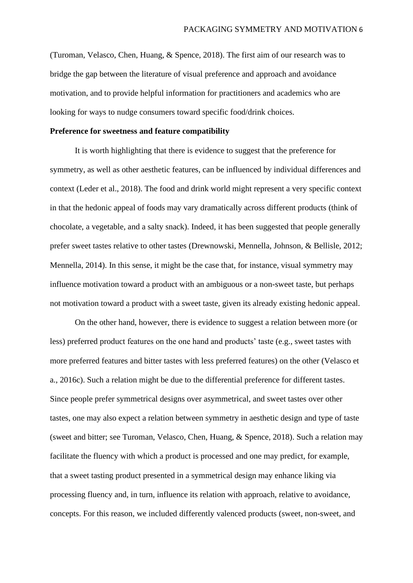(Turoman, Velasco, Chen, Huang, & Spence, 2018). The first aim of our research was to bridge the gap between the literature of visual preference and approach and avoidance motivation, and to provide helpful information for practitioners and academics who are looking for ways to nudge consumers toward specific food/drink choices.

#### **Preference for sweetness and feature compatibility**

It is worth highlighting that there is evidence to suggest that the preference for symmetry, as well as other aesthetic features, can be influenced by individual differences and context (Leder et al., 2018). The food and drink world might represent a very specific context in that the hedonic appeal of foods may vary dramatically across different products (think of chocolate, a vegetable, and a salty snack). Indeed, it has been suggested that people generally prefer sweet tastes relative to other tastes (Drewnowski, Mennella, Johnson, & Bellisle, 2012; Mennella, 2014). In this sense, it might be the case that, for instance, visual symmetry may influence motivation toward a product with an ambiguous or a non-sweet taste, but perhaps not motivation toward a product with a sweet taste, given its already existing hedonic appeal.

On the other hand, however, there is evidence to suggest a relation between more (or less) preferred product features on the one hand and products' taste (e.g., sweet tastes with more preferred features and bitter tastes with less preferred features) on the other (Velasco et a., 2016c). Such a relation might be due to the differential preference for different tastes. Since people prefer symmetrical designs over asymmetrical, and sweet tastes over other tastes, one may also expect a relation between symmetry in aesthetic design and type of taste (sweet and bitter; see Turoman, Velasco, Chen, Huang, & Spence, 2018). Such a relation may facilitate the fluency with which a product is processed and one may predict, for example, that a sweet tasting product presented in a symmetrical design may enhance liking via processing fluency and, in turn, influence its relation with approach, relative to avoidance, concepts. For this reason, we included differently valenced products (sweet, non-sweet, and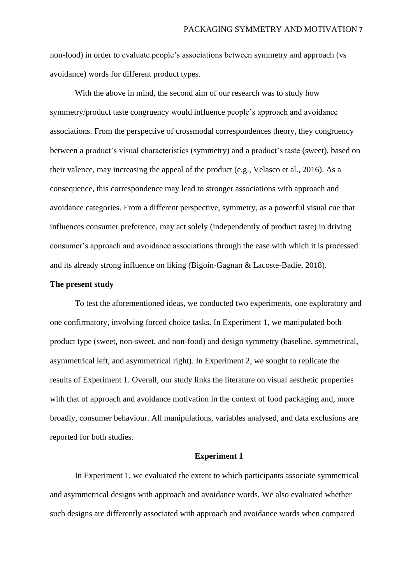non-food) in order to evaluate people's associations between symmetry and approach (vs avoidance) words for different product types.

With the above in mind, the second aim of our research was to study how symmetry/product taste congruency would influence people's approach and avoidance associations. From the perspective of crossmodal correspondences theory, they congruency between a product's visual characteristics (symmetry) and a product's taste (sweet), based on their valence, may increasing the appeal of the product (e.g., Velasco et al., 2016). As a consequence, this correspondence may lead to stronger associations with approach and avoidance categories. From a different perspective, symmetry, as a powerful visual cue that influences consumer preference, may act solely (independently of product taste) in driving consumer's approach and avoidance associations through the ease with which it is processed and its already strong influence on liking (Bigoin-Gagnan & Lacoste-Badie, 2018).

## **The present study**

To test the aforementioned ideas, we conducted two experiments, one exploratory and one confirmatory, involving forced choice tasks. In Experiment 1, we manipulated both product type (sweet, non-sweet, and non-food) and design symmetry (baseline, symmetrical, asymmetrical left, and asymmetrical right). In Experiment 2, we sought to replicate the results of Experiment 1. Overall, our study links the literature on visual aesthetic properties with that of approach and avoidance motivation in the context of food packaging and, more broadly, consumer behaviour. All manipulations, variables analysed, and data exclusions are reported for both studies.

#### **Experiment 1**

In Experiment 1, we evaluated the extent to which participants associate symmetrical and asymmetrical designs with approach and avoidance words. We also evaluated whether such designs are differently associated with approach and avoidance words when compared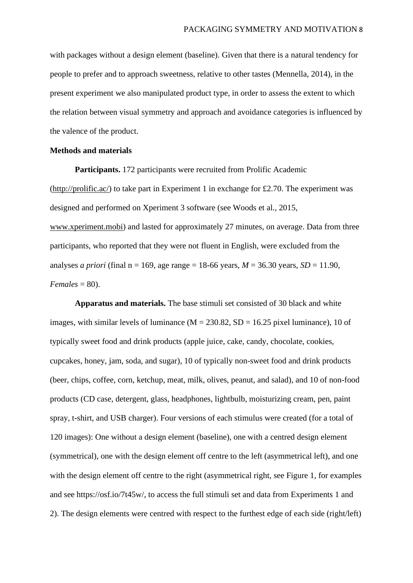with packages without a design element (baseline). Given that there is a natural tendency for people to prefer and to approach sweetness, relative to other tastes (Mennella, 2014), in the present experiment we also manipulated product type, in order to assess the extent to which the relation between visual symmetry and approach and avoidance categories is influenced by the valence of the product.

# **Methods and materials**

**Participants.** 172 participants were recruited from Prolific Academic [\(http://prolific.ac/\)](http://prolific.ac/) to take part in Experiment 1 in exchange for £2.70. The experiment was designed and performed on Xperiment 3 software (see Woods et al., 2015, [www.xperiment.mobi\)](http://www.xperiment.mobi/) and lasted for approximately 27 minutes, on average. Data from three participants, who reported that they were not fluent in English, were excluded from the analyses *a priori* (final  $n = 169$ , age range = 18-66 years,  $M = 36.30$  years,  $SD = 11.90$ ,  $F$ *emales* = 80).

**Apparatus and materials.** The base stimuli set consisted of 30 black and white images, with similar levels of luminance  $(M = 230.82, SD = 16.25$  pixel luminance), 10 of typically sweet food and drink products (apple juice, cake, candy, chocolate, cookies, cupcakes, honey, jam, soda, and sugar), 10 of typically non-sweet food and drink products (beer, chips, coffee, corn, ketchup, meat, milk, olives, peanut, and salad), and 10 of non-food products (CD case, detergent, glass, headphones, lightbulb, moisturizing cream, pen, paint spray, t-shirt, and USB charger). Four versions of each stimulus were created (for a total of 120 images): One without a design element (baseline), one with a centred design element (symmetrical), one with the design element off centre to the left (asymmetrical left), and one with the design element off centre to the right (asymmetrical right, see Figure 1, for examples and see https://osf.io/7t45w/, to access the full stimuli set and data from Experiments 1 and 2). The design elements were centred with respect to the furthest edge of each side (right/left)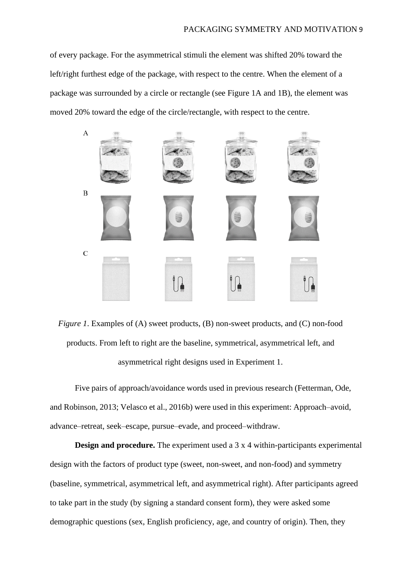of every package. For the asymmetrical stimuli the element was shifted 20% toward the left/right furthest edge of the package, with respect to the centre. When the element of a package was surrounded by a circle or rectangle (see Figure 1A and 1B), the element was moved 20% toward the edge of the circle/rectangle, with respect to the centre.





Five pairs of approach/avoidance words used in previous research (Fetterman, Ode, and Robinson, 2013; Velasco et al., 2016b) were used in this experiment: Approach–avoid, advance–retreat, seek–escape, pursue–evade, and proceed–withdraw.

**Design and procedure.** The experiment used a 3 x 4 within-participants experimental design with the factors of product type (sweet, non-sweet, and non-food) and symmetry (baseline, symmetrical, asymmetrical left, and asymmetrical right). After participants agreed to take part in the study (by signing a standard consent form), they were asked some demographic questions (sex, English proficiency, age, and country of origin). Then, they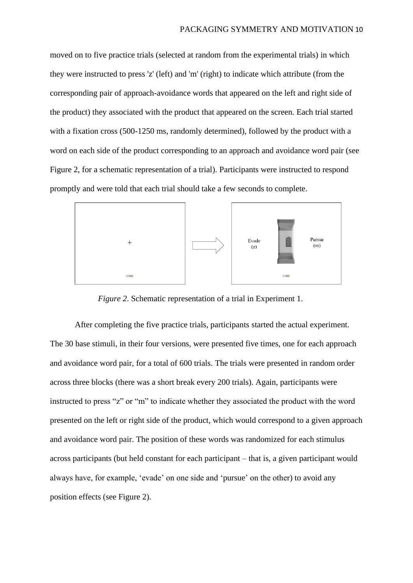moved on to five practice trials (selected at random from the experimental trials) in which they were instructed to press 'z' (left) and 'm' (right) to indicate which attribute (from the corresponding pair of approach-avoidance words that appeared on the left and right side of the product) they associated with the product that appeared on the screen. Each trial started with a fixation cross (500-1250 ms, randomly determined), followed by the product with a word on each side of the product corresponding to an approach and avoidance word pair (see Figure 2, for a schematic representation of a trial). Participants were instructed to respond promptly and were told that each trial should take a few seconds to complete.



*Figure 2*. Schematic representation of a trial in Experiment 1.

After completing the five practice trials, participants started the actual experiment. The 30 base stimuli, in their four versions, were presented five times, one for each approach and avoidance word pair, for a total of 600 trials. The trials were presented in random order across three blocks (there was a short break every 200 trials). Again, participants were instructed to press "z" or "m" to indicate whether they associated the product with the word presented on the left or right side of the product, which would correspond to a given approach and avoidance word pair. The position of these words was randomized for each stimulus across participants (but held constant for each participant – that is, a given participant would always have, for example, 'evade' on one side and 'pursue' on the other) to avoid any position effects (see Figure 2).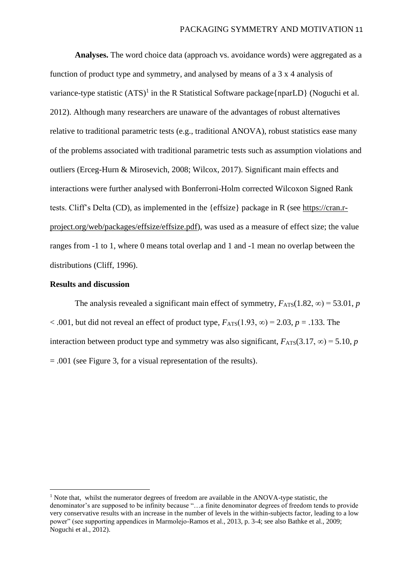**Analyses.** The word choice data (approach vs. avoidance words) were aggregated as a function of product type and symmetry, and analysed by means of a 3 x 4 analysis of variance-type statistic  $(ATS)^1$  in the R Statistical Software package ${nprLD}$  (Noguchi et al. 2012). Although many researchers are unaware of the advantages of robust alternatives relative to traditional parametric tests (e.g., traditional ANOVA), robust statistics ease many of the problems associated with traditional parametric tests such as assumption violations and outliers (Erceg-Hurn & Mirosevich, 2008; Wilcox, 2017). Significant main effects and interactions were further analysed with Bonferroni-Holm corrected Wilcoxon Signed Rank tests. Cliff's Delta (CD), as implemented in the {effsize} package in R (see [https://cran.r](https://cran.r-project.org/web/packages/effsize/effsize.pdf)[project.org/web/packages/effsize/effsize.pdf\)](https://cran.r-project.org/web/packages/effsize/effsize.pdf), was used as a measure of effect size; the value ranges from -1 to 1, where 0 means total overlap and 1 and -1 mean no overlap between the distributions (Cliff, 1996).

### **Results and discussion**

The analysis revealed a significant main effect of symmetry,  $F_{\text{ATS}}(1.82, \infty) = 53.01$ , *p*  $< .001$ , but did not reveal an effect of product type,  $F_{\text{ATS}}(1.93, \infty) = 2.03$ ,  $p = .133$ . The interaction between product type and symmetry was also significant,  $F_{\text{ATS}}(3.17, \infty) = 5.10$ , *p* = .001 (see Figure 3, for a visual representation of the results).

 $1$  Note that, whilst the numerator degrees of freedom are available in the ANOVA-type statistic, the denominator's are supposed to be infinity because "…a finite denominator degrees of freedom tends to provide very conservative results with an increase in the number of levels in the within-subjects factor, leading to a low power" (see supporting appendices in Marmolejo-Ramos et al., 2013, p. 3-4; see also Bathke et al., 2009; Noguchi et al., 2012).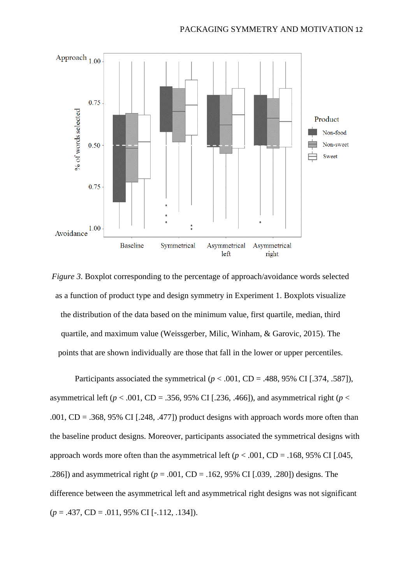

*Figure 3.* Boxplot corresponding to the percentage of approach/avoidance words selected as a function of product type and design symmetry in Experiment 1. Boxplots visualize the distribution of the data based on the minimum value, first quartile, median, third quartile, and maximum value (Weissgerber, Milic, Winham, & Garovic, 2015). The points that are shown individually are those that fall in the lower or upper percentiles.

Participants associated the symmetrical ( $p < .001$ , CD = .488, 95% CI [.374, .587]), asymmetrical left ( $p < .001$ , CD = .356, 95% CI [.236, .466]), and asymmetrical right ( $p <$ .001,  $CD = .368, 95\%$  CI [.248, .477]) product designs with approach words more often than the baseline product designs. Moreover, participants associated the symmetrical designs with approach words more often than the asymmetrical left ( $p < .001$ , CD = .168, 95% CI [.045, .286]) and asymmetrical right (*p* = .001, CD = .162, 95% CI [.039, .280]) designs. The difference between the asymmetrical left and asymmetrical right designs was not significant (*p* = .437, CD = .011, 95% CI [-.112, .134]).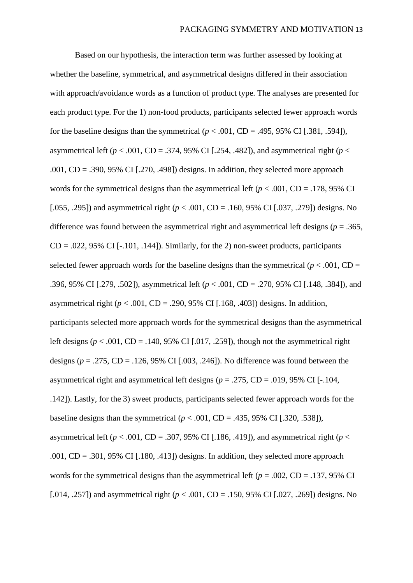Based on our hypothesis, the interaction term was further assessed by looking at whether the baseline, symmetrical, and asymmetrical designs differed in their association with approach/avoidance words as a function of product type. The analyses are presented for each product type. For the 1) non-food products, participants selected fewer approach words for the baseline designs than the symmetrical  $(p < .001, CD = .495, 95\% \text{ CI}$  [.381, .594]), asymmetrical left ( $p < .001$ , CD = .374, 95% CI [.254, .482]), and asymmetrical right ( $p <$ .001, CD = .390, 95% CI [.270, .498]) designs. In addition, they selected more approach words for the symmetrical designs than the asymmetrical left ( $p < .001$ , CD = .178, 95% CI [.055, .295]) and asymmetrical right (*p* < .001, CD = .160, 95% CI [.037, .279]) designs. No difference was found between the asymmetrical right and asymmetrical left designs ( $p = .365$ ,  $CD = .022, 95\% \text{ CI}$  [-.101, .144]). Similarly, for the 2) non-sweet products, participants selected fewer approach words for the baseline designs than the symmetrical ( $p < .001$ , CD = .396, 95% CI [.279, .502]), asymmetrical left (*p* < .001, CD = .270, 95% CI [.148, .384]), and asymmetrical right ( $p < .001$ , CD = .290, 95% CI [.168, .403]) designs. In addition, participants selected more approach words for the symmetrical designs than the asymmetrical left designs ( $p < .001$ , CD = .140, 95% CI [.017, .259]), though not the asymmetrical right designs ( $p = .275$ , CD =  $.126$ , 95% CI [.003, .246]). No difference was found between the asymmetrical right and asymmetrical left designs ( $p = .275$ , CD = .019, 95% CI [-.104, .142]). Lastly, for the 3) sweet products, participants selected fewer approach words for the baseline designs than the symmetrical ( $p < .001$ , CD = .435, 95% CI [.320, .538]), asymmetrical left ( $p < .001$ , CD = .307, 95% CI [.186, .419]), and asymmetrical right ( $p <$ .001,  $CD = .301, 95\%$  CI [.180, .413]) designs. In addition, they selected more approach words for the symmetrical designs than the asymmetrical left ( $p = .002$ , CD = .137, 95% CI [.014, .257]) and asymmetrical right ( $p < .001$ , CD = .150, 95% CI [.027, .269]) designs. No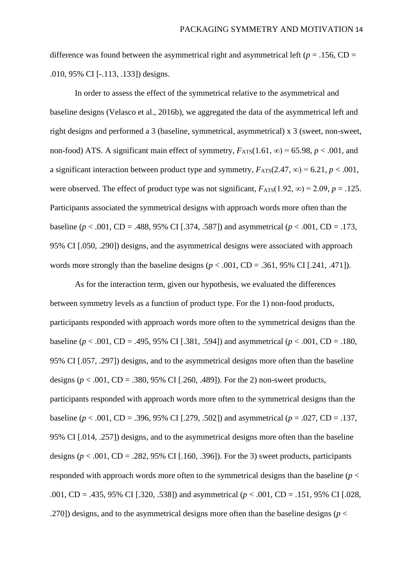difference was found between the asymmetrical right and asymmetrical left ( $p = .156$ , CD = .010, 95% CI [-.113, .133]) designs.

In order to assess the effect of the symmetrical relative to the asymmetrical and baseline designs (Velasco et al., 2016b), we aggregated the data of the asymmetrical left and right designs and performed a 3 (baseline, symmetrical, asymmetrical) x 3 (sweet, non-sweet, non-food) ATS. A significant main effect of symmetry,  $F_{\text{ATS}}(1.61, \infty) = 65.98$ ,  $p < .001$ , and a significant interaction between product type and symmetry,  $F_{\text{ATS}}(2.47, \infty) = 6.21$ ,  $p < .001$ , were observed. The effect of product type was not significant,  $F_{\text{ATS}}(1.92, \infty) = 2.09$ ,  $p = .125$ . Participants associated the symmetrical designs with approach words more often than the baseline ( $p < .001$ , CD = .488, 95% CI [.374, .587]) and asymmetrical ( $p < .001$ , CD = .173, 95% CI [.050, .290]) designs, and the asymmetrical designs were associated with approach words more strongly than the baseline designs  $(p < .001, CD = .361, 95\% \text{ CI}$  [.241, .471]).

As for the interaction term, given our hypothesis, we evaluated the differences between symmetry levels as a function of product type. For the 1) non-food products, participants responded with approach words more often to the symmetrical designs than the baseline ( $p < .001$ , CD = .495, 95% CI [.381, .594]) and asymmetrical ( $p < .001$ , CD = .180, 95% CI [.057, .297]) designs, and to the asymmetrical designs more often than the baseline designs (*p* < .001, CD = .380, 95% CI [.260, .489]). For the 2) non-sweet products, participants responded with approach words more often to the symmetrical designs than the baseline ( $p < .001$ , CD = .396, 95% CI [.279, .502]) and asymmetrical ( $p = .027$ , CD = .137, 95% CI [.014, .257]) designs, and to the asymmetrical designs more often than the baseline designs ( $p < .001$ , CD = .282, 95% CI [.160, .396]). For the 3) sweet products, participants responded with approach words more often to the symmetrical designs than the baseline (*p* < .001, CD = .435, 95% CI [.320, .538]) and asymmetrical (*p* < .001, CD = .151, 95% CI [.028, .270]) designs, and to the asymmetrical designs more often than the baseline designs (*p* <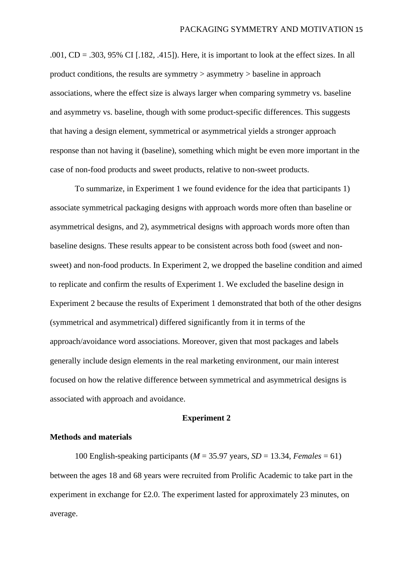.001,  $CD = .303, 95\%$  CI [.182, .415]). Here, it is important to look at the effect sizes. In all product conditions, the results are symmetry > asymmetry > baseline in approach associations, where the effect size is always larger when comparing symmetry vs. baseline and asymmetry vs. baseline, though with some product-specific differences. This suggests that having a design element, symmetrical or asymmetrical yields a stronger approach response than not having it (baseline), something which might be even more important in the case of non-food products and sweet products, relative to non-sweet products.

To summarize, in Experiment 1 we found evidence for the idea that participants 1) associate symmetrical packaging designs with approach words more often than baseline or asymmetrical designs, and 2), asymmetrical designs with approach words more often than baseline designs. These results appear to be consistent across both food (sweet and nonsweet) and non-food products. In Experiment 2, we dropped the baseline condition and aimed to replicate and confirm the results of Experiment 1. We excluded the baseline design in Experiment 2 because the results of Experiment 1 demonstrated that both of the other designs (symmetrical and asymmetrical) differed significantly from it in terms of the approach/avoidance word associations. Moreover, given that most packages and labels generally include design elements in the real marketing environment, our main interest focused on how the relative difference between symmetrical and asymmetrical designs is associated with approach and avoidance.

#### **Experiment 2**

# **Methods and materials**

100 English-speaking participants (*M* = 35.97 years, *SD* = 13.34, *Females* = 61) between the ages 18 and 68 years were recruited from Prolific Academic to take part in the experiment in exchange for £2.0. The experiment lasted for approximately 23 minutes, on average.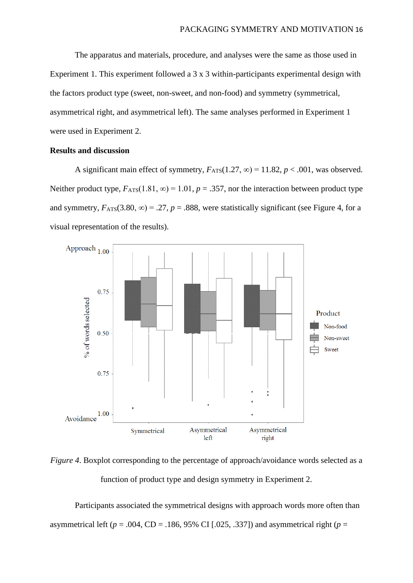The apparatus and materials, procedure, and analyses were the same as those used in Experiment 1. This experiment followed a 3 x 3 within-participants experimental design with the factors product type (sweet, non-sweet, and non-food) and symmetry (symmetrical, asymmetrical right, and asymmetrical left). The same analyses performed in Experiment 1 were used in Experiment 2.

# **Results and discussion**

A significant main effect of symmetry,  $F_{\text{ATS}}(1.27, \infty) = 11.82$ ,  $p < .001$ , was observed. Neither product type,  $F_{\text{ATS}}(1.81, \infty) = 1.01$ ,  $p = .357$ , nor the interaction between product type and symmetry,  $F_{\text{ATS}}(3.80, \infty) = .27$ ,  $p = .888$ , were statistically significant (see Figure 4, for a visual representation of the results).



*Figure 4.* Boxplot corresponding to the percentage of approach/avoidance words selected as a function of product type and design symmetry in Experiment 2.

Participants associated the symmetrical designs with approach words more often than asymmetrical left ( $p = .004$ , CD = .186, 95% CI [.025, .337]) and asymmetrical right ( $p =$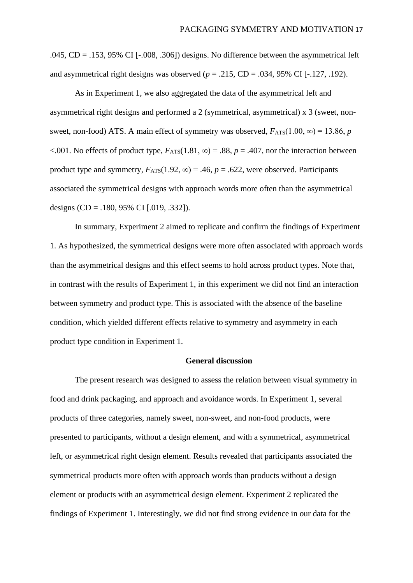.045,  $CD = .153$ , 95% CI [ $-.008, .306$ ]) designs. No difference between the asymmetrical left and asymmetrical right designs was observed  $(p = .215, CD = .034, 95\% \text{ CI}$  [-.127, .192).

As in Experiment 1, we also aggregated the data of the asymmetrical left and asymmetrical right designs and performed a 2 (symmetrical, asymmetrical) x 3 (sweet, nonsweet, non-food) ATS. A main effect of symmetry was observed,  $F_{\text{ATS}}(1.00, \infty) = 13.86, p$ <.001. No effects of product type,  $F_{\text{ATS}}(1.81, \infty) = .88$ ,  $p = .407$ , nor the interaction between product type and symmetry,  $F_{\text{ATS}}(1.92, \infty) = .46$ ,  $p = .622$ , were observed. Participants associated the symmetrical designs with approach words more often than the asymmetrical designs  $(CD = .180, 95\% \text{ CI}$  [.019, .332]).

In summary, Experiment 2 aimed to replicate and confirm the findings of Experiment 1. As hypothesized, the symmetrical designs were more often associated with approach words than the asymmetrical designs and this effect seems to hold across product types. Note that, in contrast with the results of Experiment 1, in this experiment we did not find an interaction between symmetry and product type. This is associated with the absence of the baseline condition, which yielded different effects relative to symmetry and asymmetry in each product type condition in Experiment 1.

# **General discussion**

The present research was designed to assess the relation between visual symmetry in food and drink packaging, and approach and avoidance words. In Experiment 1, several products of three categories, namely sweet, non-sweet, and non-food products, were presented to participants, without a design element, and with a symmetrical, asymmetrical left, or asymmetrical right design element. Results revealed that participants associated the symmetrical products more often with approach words than products without a design element or products with an asymmetrical design element. Experiment 2 replicated the findings of Experiment 1. Interestingly, we did not find strong evidence in our data for the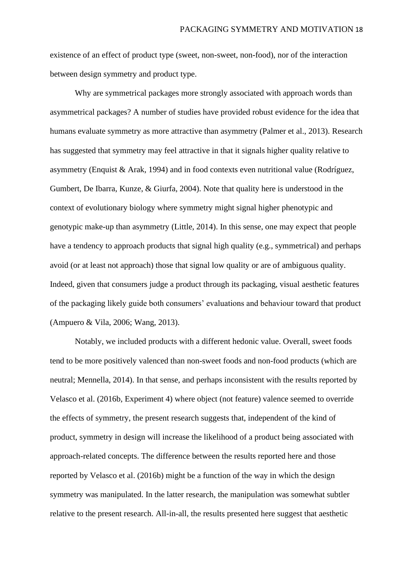existence of an effect of product type (sweet, non-sweet, non-food), nor of the interaction between design symmetry and product type.

Why are symmetrical packages more strongly associated with approach words than asymmetrical packages? A number of studies have provided robust evidence for the idea that humans evaluate symmetry as more attractive than asymmetry (Palmer et al., 2013). Research has suggested that symmetry may feel attractive in that it signals higher quality relative to asymmetry (Enquist & Arak, 1994) and in food contexts even nutritional value (Rodríguez, Gumbert, De Ibarra, Kunze, & Giurfa, 2004). Note that quality here is understood in the context of evolutionary biology where symmetry might signal higher phenotypic and genotypic make-up than asymmetry (Little, 2014). In this sense, one may expect that people have a tendency to approach products that signal high quality (e.g., symmetrical) and perhaps avoid (or at least not approach) those that signal low quality or are of ambiguous quality. Indeed, given that consumers judge a product through its packaging, visual aesthetic features of the packaging likely guide both consumers' evaluations and behaviour toward that product (Ampuero & Vila, 2006; Wang, 2013).

Notably, we included products with a different hedonic value. Overall, sweet foods tend to be more positively valenced than non-sweet foods and non-food products (which are neutral; Mennella, 2014). In that sense, and perhaps inconsistent with the results reported by Velasco et al. (2016b, Experiment 4) where object (not feature) valence seemed to override the effects of symmetry, the present research suggests that, independent of the kind of product, symmetry in design will increase the likelihood of a product being associated with approach-related concepts. The difference between the results reported here and those reported by Velasco et al. (2016b) might be a function of the way in which the design symmetry was manipulated. In the latter research, the manipulation was somewhat subtler relative to the present research. All-in-all, the results presented here suggest that aesthetic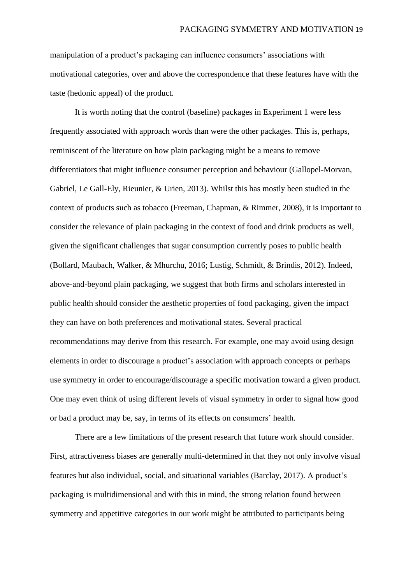manipulation of a product's packaging can influence consumers' associations with motivational categories, over and above the correspondence that these features have with the taste (hedonic appeal) of the product.

It is worth noting that the control (baseline) packages in Experiment 1 were less frequently associated with approach words than were the other packages. This is, perhaps, reminiscent of the literature on how plain packaging might be a means to remove differentiators that might influence consumer perception and behaviour (Gallopel-Morvan, Gabriel, Le Gall-Ely, Rieunier, & Urien, 2013). Whilst this has mostly been studied in the context of products such as tobacco (Freeman, Chapman, & Rimmer, 2008), it is important to consider the relevance of plain packaging in the context of food and drink products as well, given the significant challenges that sugar consumption currently poses to public health (Bollard, Maubach, Walker, & Mhurchu, 2016; Lustig, Schmidt, & Brindis, 2012). Indeed, above-and-beyond plain packaging, we suggest that both firms and scholars interested in public health should consider the aesthetic properties of food packaging, given the impact they can have on both preferences and motivational states. Several practical recommendations may derive from this research. For example, one may avoid using design elements in order to discourage a product's association with approach concepts or perhaps use symmetry in order to encourage/discourage a specific motivation toward a given product. One may even think of using different levels of visual symmetry in order to signal how good or bad a product may be, say, in terms of its effects on consumers' health.

There are a few limitations of the present research that future work should consider. First, attractiveness biases are generally multi-determined in that they not only involve visual features but also individual, social, and situational variables (Barclay, 2017). A product's packaging is multidimensional and with this in mind, the strong relation found between symmetry and appetitive categories in our work might be attributed to participants being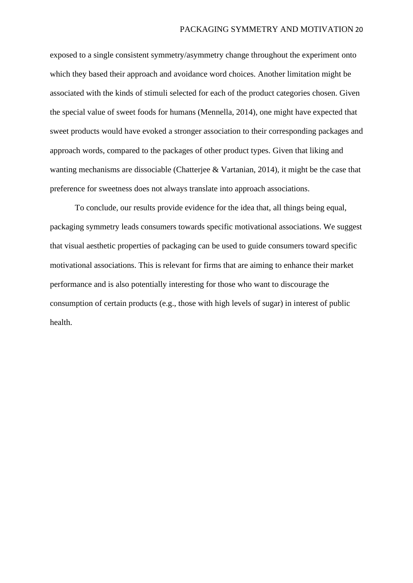exposed to a single consistent symmetry/asymmetry change throughout the experiment onto which they based their approach and avoidance word choices. Another limitation might be associated with the kinds of stimuli selected for each of the product categories chosen. Given the special value of sweet foods for humans (Mennella, 2014), one might have expected that sweet products would have evoked a stronger association to their corresponding packages and approach words, compared to the packages of other product types. Given that liking and wanting mechanisms are dissociable (Chatterjee & Vartanian, 2014), it might be the case that preference for sweetness does not always translate into approach associations.

To conclude, our results provide evidence for the idea that, all things being equal, packaging symmetry leads consumers towards specific motivational associations. We suggest that visual aesthetic properties of packaging can be used to guide consumers toward specific motivational associations. This is relevant for firms that are aiming to enhance their market performance and is also potentially interesting for those who want to discourage the consumption of certain products (e.g., those with high levels of sugar) in interest of public health.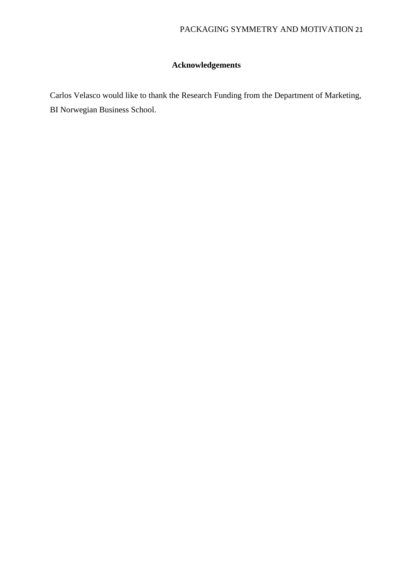# **Acknowledgements**

Carlos Velasco would like to thank the Research Funding from the Department of Marketing, BI Norwegian Business School.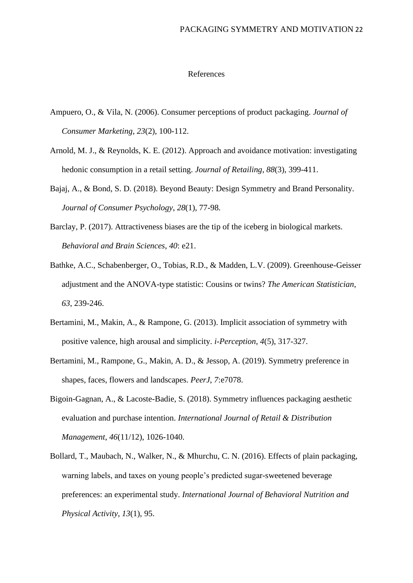#### References

- Ampuero, O., & Vila, N. (2006). Consumer perceptions of product packaging. *Journal of Consumer Marketing*, *23*(2), 100-112.
- Arnold, M. J., & Reynolds, K. E. (2012). Approach and avoidance motivation: investigating hedonic consumption in a retail setting. *Journal of Retailing*, *88*(3), 399-411.
- Bajaj, A., & Bond, S. D. (2018). Beyond Beauty: Design Symmetry and Brand Personality. *Journal of Consumer Psychology*, *28*(1), 77-98.
- Barclay, P. (2017). Attractiveness biases are the tip of the iceberg in biological markets. *Behavioral and Brain Sciences*, *40*: e21.
- Bathke, A.C., Schabenberger, O., Tobias, R.D., & Madden, L.V. (2009). Greenhouse-Geisser adjustment and the ANOVA-type statistic: Cousins or twins? *The American Statistician, 63*, 239-246.
- Bertamini, M., Makin, A., & Rampone, G. (2013). Implicit association of symmetry with positive valence, high arousal and simplicity. *i-Perception*, *4*(5), 317-327.
- Bertamini, M., Rampone, G., Makin, A. D., & Jessop, A. (2019). Symmetry preference in shapes, faces, flowers and landscapes. *PeerJ*, *7*:e7078.
- Bigoin-Gagnan, A., & Lacoste-Badie, S. (2018). Symmetry influences packaging aesthetic evaluation and purchase intention. *International Journal of Retail & Distribution Management*, *46*(11/12), 1026-1040.
- Bollard, T., Maubach, N., Walker, N., & Mhurchu, C. N. (2016). Effects of plain packaging, warning labels, and taxes on young people's predicted sugar-sweetened beverage preferences: an experimental study. *International Journal of Behavioral Nutrition and Physical Activity*, *13*(1), 95.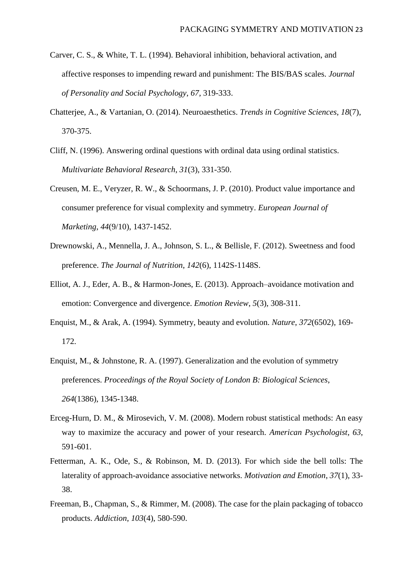- Carver, C. S., & White, T. L. (1994). Behavioral inhibition, behavioral activation, and affective responses to impending reward and punishment: The BIS/BAS scales. *Journal of Personality and Social Psychology*, *67*, 319-333.
- Chatterjee, A., & Vartanian, O. (2014). Neuroaesthetics. *Trends in Cognitive Sciences*, *18*(7), 370-375.
- Cliff, N. (1996). Answering ordinal questions with ordinal data using ordinal statistics. *Multivariate Behavioral Research*, *31*(3), 331-350.
- Creusen, M. E., Veryzer, R. W., & Schoormans, J. P. (2010). Product value importance and consumer preference for visual complexity and symmetry. *European Journal of Marketing*, *44*(9/10), 1437-1452.
- Drewnowski, A., Mennella, J. A., Johnson, S. L., & Bellisle, F. (2012). Sweetness and food preference. *The Journal of Nutrition*, *142*(6), 1142S-1148S.
- Elliot, A. J., Eder, A. B., & Harmon-Jones, E. (2013). Approach–avoidance motivation and emotion: Convergence and divergence. *Emotion Review*, *5*(3), 308-311.
- Enquist, M., & Arak, A. (1994). Symmetry, beauty and evolution. *Nature*, *372*(6502), 169- 172.
- Enquist, M., & Johnstone, R. A. (1997). Generalization and the evolution of symmetry preferences. *Proceedings of the Royal Society of London B: Biological Sciences*, *264*(1386), 1345-1348.
- Erceg-Hurn, D. M., & Mirosevich, V. M. (2008). Modern robust statistical methods: An easy way to maximize the accuracy and power of your research. *American Psychologist*, *63*, 591-601.
- Fetterman, A. K., Ode, S., & Robinson, M. D. (2013). For which side the bell tolls: The laterality of approach-avoidance associative networks. *Motivation and Emotion*, *37*(1), 33- 38.
- Freeman, B., Chapman, S., & Rimmer, M. (2008). The case for the plain packaging of tobacco products. *Addiction*, *103*(4), 580-590.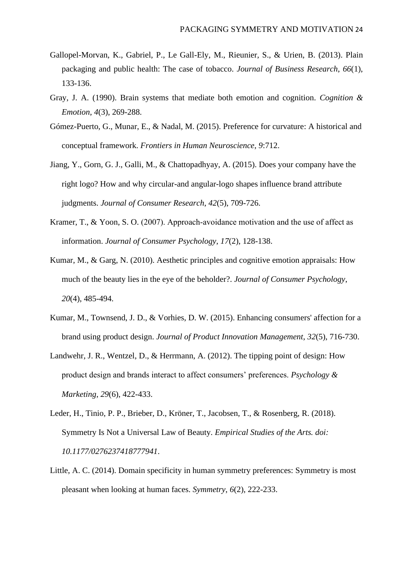- Gallopel-Morvan, K., Gabriel, P., Le Gall-Ely, M., Rieunier, S., & Urien, B. (2013). Plain packaging and public health: The case of tobacco. *Journal of Business Research*, *66*(1), 133-136.
- Gray, J. A. (1990). Brain systems that mediate both emotion and cognition. *Cognition & Emotion*, *4*(3), 269-288.
- Gómez-Puerto, G., Munar, E., & Nadal, M. (2015). Preference for curvature: A historical and conceptual framework. *Frontiers in Human Neuroscience*, *9*:712.
- Jiang, Y., Gorn, G. J., Galli, M., & Chattopadhyay, A. (2015). Does your company have the right logo? How and why circular-and angular-logo shapes influence brand attribute judgments. *Journal of Consumer Research*, *42*(5), 709-726.
- Kramer, T., & Yoon, S. O. (2007). Approach-avoidance motivation and the use of affect as information. *Journal of Consumer Psychology*, *17*(2), 128-138.
- Kumar, M., & Garg, N. (2010). Aesthetic principles and cognitive emotion appraisals: How much of the beauty lies in the eye of the beholder?. *Journal of Consumer Psychology*, *20*(4), 485-494.
- Kumar, M., Townsend, J. D., & Vorhies, D. W. (2015). Enhancing consumers' affection for a brand using product design. *Journal of Product Innovation Management*, *32*(5), 716-730.
- Landwehr, J. R., Wentzel, D., & Herrmann, A. (2012). The tipping point of design: How product design and brands interact to affect consumers' preferences. *Psychology & Marketing*, *29*(6), 422-433.
- Leder, H., Tinio, P. P., Brieber, D., Kröner, T., Jacobsen, T., & Rosenberg, R. (2018). Symmetry Is Not a Universal Law of Beauty. *Empirical Studies of the Arts. doi: 10.1177/0276237418777941*.
- Little, A. C. (2014). Domain specificity in human symmetry preferences: Symmetry is most pleasant when looking at human faces. *Symmetry*, *6*(2), 222-233.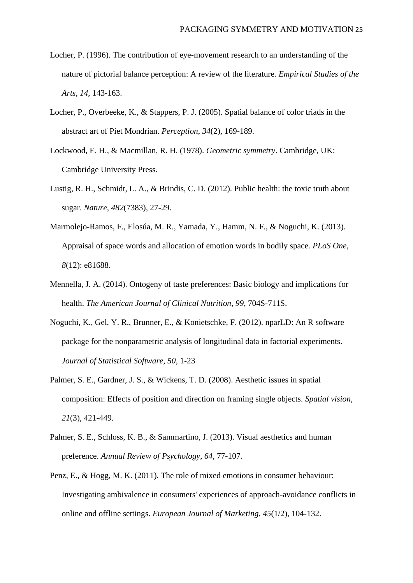- Locher, P. (1996). The contribution of eye-movement research to an understanding of the nature of pictorial balance perception: A review of the literature. *Empirical Studies of the Arts*, *14*, 143-163.
- Locher, P., Overbeeke, K., & Stappers, P. J. (2005). Spatial balance of color triads in the abstract art of Piet Mondrian. *Perception*, *34*(2), 169-189.
- Lockwood, E. H., & Macmillan, R. H. (1978). *Geometric symmetry*. Cambridge, UK: Cambridge University Press.
- Lustig, R. H., Schmidt, L. A., & Brindis, C. D. (2012). Public health: the toxic truth about sugar. *Nature*, *482*(7383), 27-29.
- Marmolejo-Ramos, F., Elosúa, M. R., Yamada, Y., Hamm, N. F., & Noguchi, K. (2013). Appraisal of space words and allocation of emotion words in bodily space. *PLoS One*, *8*(12): e81688.
- Mennella, J. A. (2014). Ontogeny of taste preferences: Basic biology and implications for health. *The American Journal of Clinical Nutrition*, *99*, 704S-711S.
- Noguchi, K., Gel, Y. R., Brunner, E., & Konietschke, F. (2012). nparLD: An R software package for the nonparametric analysis of longitudinal data in factorial experiments. *Journal of Statistical Software*, *50*, 1-23
- Palmer, S. E., Gardner, J. S., & Wickens, T. D. (2008). Aesthetic issues in spatial composition: Effects of position and direction on framing single objects. *Spatial vision*, *21*(3), 421-449.
- Palmer, S. E., Schloss, K. B., & Sammartino, J. (2013). Visual aesthetics and human preference. *Annual Review of Psychology*, *64*, 77-107.
- Penz, E., & Hogg, M. K. (2011). The role of mixed emotions in consumer behaviour: Investigating ambivalence in consumers' experiences of approach-avoidance conflicts in online and offline settings. *European Journal of Marketing*, *45*(1/2), 104-132.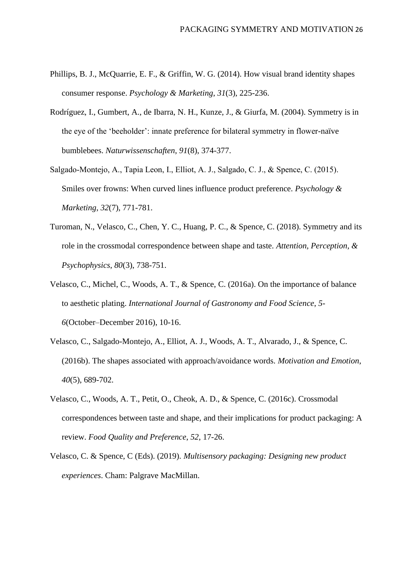- Phillips, B. J., McQuarrie, E. F., & Griffin, W. G. (2014). How visual brand identity shapes consumer response. *Psychology & Marketing*, *31*(3), 225-236.
- Rodríguez, I., Gumbert, A., de Ibarra, N. H., Kunze, J., & Giurfa, M. (2004). Symmetry is in the eye of the 'beeholder': innate preference for bilateral symmetry in flower-naïve bumblebees. *Naturwissenschaften*, *91*(8), 374-377.
- Salgado‐Montejo, A., Tapia Leon, I., Elliot, A. J., Salgado, C. J., & Spence, C. (2015). Smiles over frowns: When curved lines influence product preference. *Psychology & Marketing*, *32*(7), 771-781.
- Turoman, N., Velasco, C., Chen, Y. C., Huang, P. C., & Spence, C. (2018). Symmetry and its role in the crossmodal correspondence between shape and taste. *Attention, Perception, & Psychophysics*, *80*(3), 738-751.
- Velasco, C., Michel, C., Woods, A. T., & Spence, C. (2016a). On the importance of balance to aesthetic plating. *International Journal of Gastronomy and Food Science*, *5- 6*(October–December 2016), 10-16.
- Velasco, C., Salgado-Montejo, A., Elliot, A. J., Woods, A. T., Alvarado, J., & Spence, C. (2016b). The shapes associated with approach/avoidance words. *Motivation and Emotion*, *40*(5), 689-702.
- Velasco, C., Woods, A. T., Petit, O., Cheok, A. D., & Spence, C. (2016c). Crossmodal correspondences between taste and shape, and their implications for product packaging: A review. *Food Quality and Preference*, *52*, 17-26.
- Velasco, C. & Spence, C (Eds). (2019). *Multisensory packaging: Designing new product experiences*. Cham: Palgrave MacMillan.